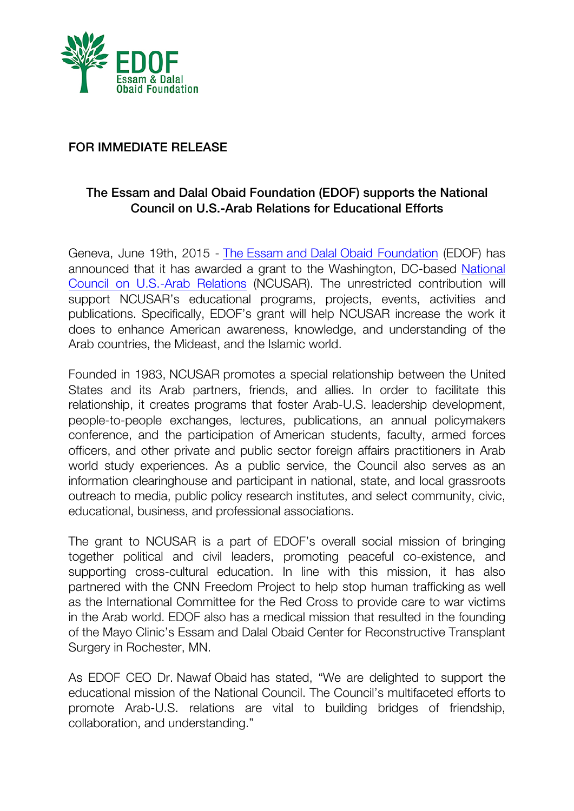

## FOR IMMEDIATE RELEASE

## The Essam and Dalal Obaid Foundation (EDOF) supports the National Council on U.S.-Arab Relations for Educational Efforts

Geneva, June 19th, 2015 - The Essam and Dalal Obaid Foundation (EDOF) has announced that it has awarded a grant to the Washington, DC-based National Council on U.S.-Arab Relations (NCUSAR). The unrestricted contribution will support NCUSAR's educational programs, projects, events, activities and publications. Specifically, EDOF's grant will help NCUSAR increase the work it does to enhance American awareness, knowledge, and understanding of the Arab countries, the Mideast, and the Islamic world.

Founded in 1983, NCUSAR promotes a special relationship between the United States and its Arab partners, friends, and allies. In order to facilitate this relationship, it creates programs that foster Arab-U.S. leadership development, people-to-people exchanges, lectures, publications, an annual policymakers conference, and the participation of American students, faculty, armed forces officers, and other private and public sector foreign affairs practitioners in Arab world study experiences. As a public service, the Council also serves as an information clearinghouse and participant in national, state, and local grassroots outreach to media, public policy research institutes, and select community, civic, educational, business, and professional associations.

The grant to NCUSAR is a part of EDOF's overall social mission of bringing together political and civil leaders, promoting peaceful co-existence, and supporting cross-cultural education. In line with this mission, it has also partnered with the CNN Freedom Project to help stop human trafficking as well as the International Committee for the Red Cross to provide care to war victims in the Arab world. EDOF also has a medical mission that resulted in the founding of the Mayo Clinic's Essam and Dalal Obaid Center for Reconstructive Transplant Surgery in Rochester, MN.

As EDOF CEO Dr. Nawaf Obaid has stated, "We are delighted to support the educational mission of the National Council. The Council's multifaceted efforts to promote Arab-U.S. relations are vital to building bridges of friendship, collaboration, and understanding."